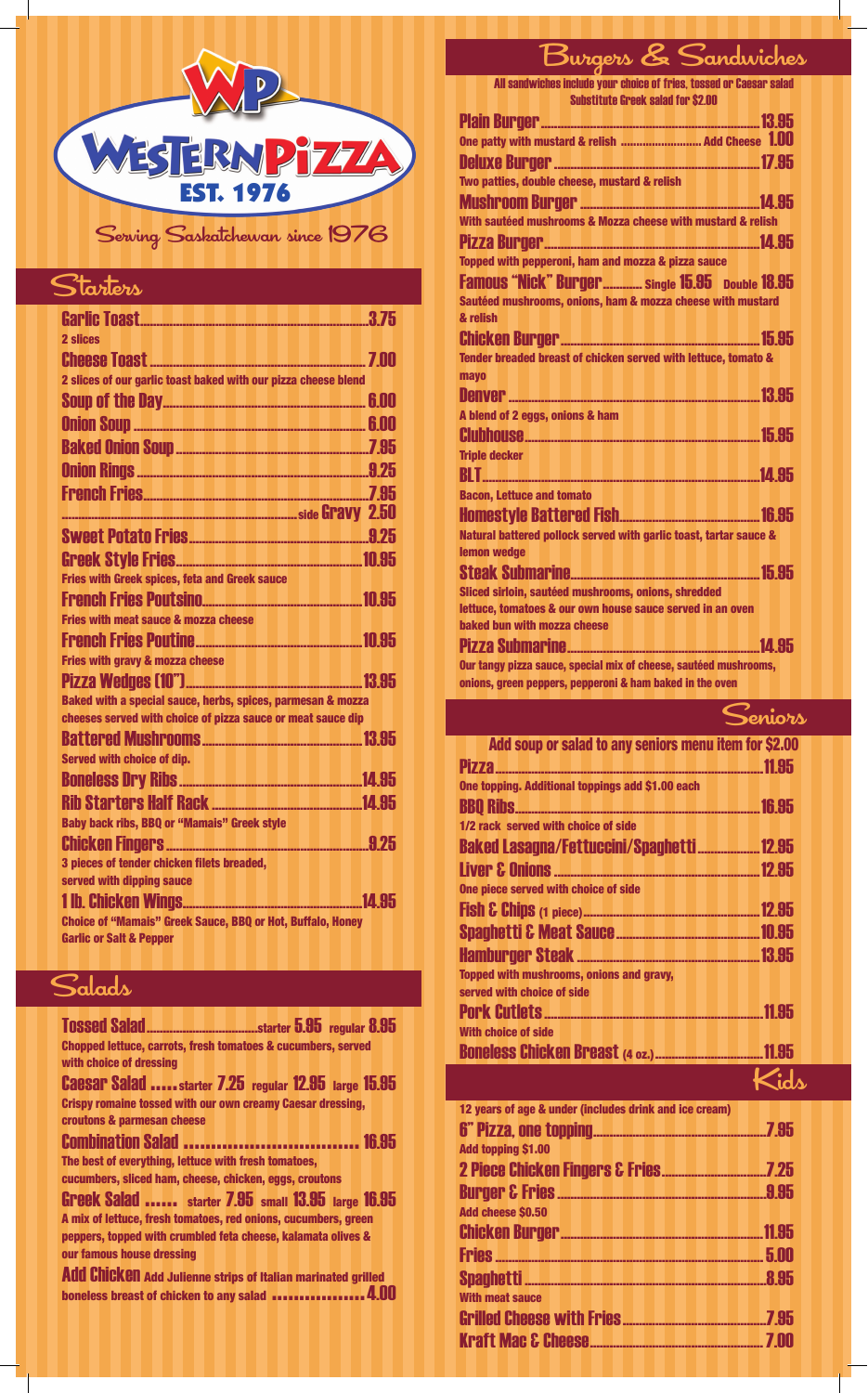

#### Starters

| 2 slices                                                               |  |
|------------------------------------------------------------------------|--|
|                                                                        |  |
| 2 slices of our garlic toast baked with our pizza cheese blend         |  |
|                                                                        |  |
|                                                                        |  |
|                                                                        |  |
|                                                                        |  |
|                                                                        |  |
|                                                                        |  |
|                                                                        |  |
|                                                                        |  |
| Fries with Greek spices, feta and Greek sauce                          |  |
|                                                                        |  |
| <b>Fries with meat sauce &amp; mozza cheese</b>                        |  |
|                                                                        |  |
| <b>Fries with gravy &amp; mozza cheese</b>                             |  |
|                                                                        |  |
| <b>Baked with a special sauce, herbs, spices, parmesan &amp; mozza</b> |  |
| cheeses served with choice of pizza sauce or meat sauce dip            |  |
|                                                                        |  |
| <b>Served with choice of dip.</b>                                      |  |
|                                                                        |  |
|                                                                        |  |
| <b>Baby back ribs, BBQ or "Mamais" Greek style</b>                     |  |
|                                                                        |  |
| 3 pieces of tender chicken filets breaded,                             |  |
| served with dipping sauce                                              |  |
|                                                                        |  |
| <b>Choice of "Mamais" Greek Sauce, BBQ or Hot, Buffalo, Honey</b>      |  |
| <b>Garlic or Salt &amp; Pepper</b>                                     |  |

### $\mathcal{S}_{\text{aladv}}$

**our famous house dressing**

| <b>Chopped lettuce, carrots, fresh tomatoes &amp; cucumbers, served</b> |  |  |  |
|-------------------------------------------------------------------------|--|--|--|
| with choice of dressing                                                 |  |  |  |
| <b>Caesar Salad </b> starter 7.25 regular 12.95 large 15.95             |  |  |  |
| <b>Crispy romaine tossed with our own creamy Caesar dressing,</b>       |  |  |  |
| croutons & parmesan cheese                                              |  |  |  |
| <b>Combination Salad  16.95</b>                                         |  |  |  |
| The best of everything, lettuce with fresh tomatoes,                    |  |  |  |
| cucumbers, sliced ham, cheese, chicken, eggs, croutons                  |  |  |  |
| <b>Greek Salad </b> starter 7.95 small 13.95 large 16.95                |  |  |  |
| A mix of lettuce, fresh tomatoes, red onions, cucumbers, green          |  |  |  |
| peppers, topped with crumbled feta cheese, kalamata olives &            |  |  |  |

Add Chicken **Add Julienne strips of Italian marinated grilled boneless breast of chicken to any salad .................**4.00

# Burgers & Sandwiches

| $\blacksquare$ 0<br>All sandwiches include your choice of fries, tossed or Caesar salad |
|-----------------------------------------------------------------------------------------|
| <b>Substitute Greek salad for \$2.00</b>                                                |
|                                                                                         |
|                                                                                         |
|                                                                                         |
| Two patties, double cheese, mustard & relish                                            |
|                                                                                         |
| With sautéed mushrooms & Mozza cheese with mustard & relish                             |
|                                                                                         |
|                                                                                         |
| Topped with pepperoni, ham and mozza & pizza sauce                                      |
| Famous "Nick" Burger Single 15.95 Double 18.95                                          |
| Sautéed mushrooms, onions, ham & mozza cheese with mustard                              |
| & relish                                                                                |
|                                                                                         |
| Tender breaded breast of chicken served with lettuce, tomato &                          |
| mayo                                                                                    |
|                                                                                         |
| A blend of 2 eggs, onions & ham                                                         |
|                                                                                         |
| <b>Triple decker</b>                                                                    |
|                                                                                         |
| <b>Bacon, Lettuce and tomato</b>                                                        |
|                                                                                         |
| Natural battered pollock served with garlic toast, tartar sauce &                       |
| lemon wedge                                                                             |
|                                                                                         |
| Sliced sirloin, sautéed mushrooms, onions, shredded                                     |
| lettuce, tomatoes & our own house sauce served in an oven                               |
| baked bun with mozza cheese                                                             |
|                                                                                         |
| Our tangy pizza sauce, special mix of cheese, sautéed mushrooms,                        |
| onions, green peppers, pepperoni & ham baked in the oven                                |

**Add soup or salad to any seniors menu item for \$2.00** Pizza..................................................................................11.95 **One topping. Additional toppings add \$1.00 each** BBQ Ribs...........................................................................16.95 **1/2 rack served with choice of side** Baked Lasagna/Fettuccini/Spaghetti ...................12.95 Liver & Onions...............................................................12.95 **One piece served with choice of side** Fish & Chips **(1 piece)**......................................................12.95 Spaghetti & Meat Sauce............................................10.95 Hamburger Steak ........................................................13.95 **Topped with mushrooms, onions and gravy, served with choice of side** Pork Cutlets...................................................................11.95 **With choice of side** Boneless Chicken Breast **(4 oz.)**.................................11.95 **12 years of age & under (includes drink and ice cream)** 6" Pizza, one topping.....................................................7.95 **Add topping \$1.00** 2 Piece Chicken Fingers & Fries................................7.25 Burger & Fries................................................................9.95 **Add cheese \$0.50** Chicken Burger..............................................................11.95 Fries..................................................................................5.00 Spaghetti ..........................................................................8.95 **With meat sauce** Grilled Cheese with Fries............................................7.95 Kraft Mac & Cheese.....................................................7.00 ,<br>Peniors Kids